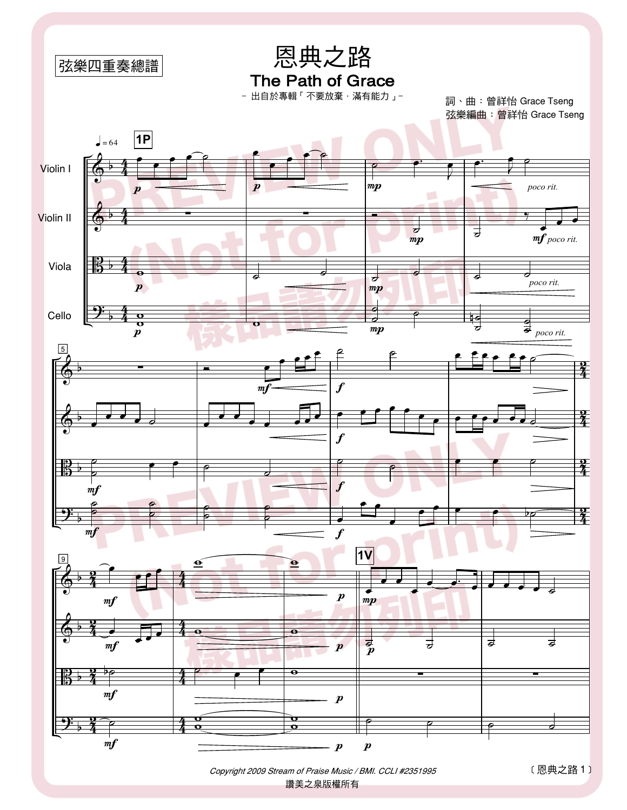

Copyright 2009 Stream of Praise Music / BMI. CCLI #2351995 讚美之泉版權所有

[恩典之路1]